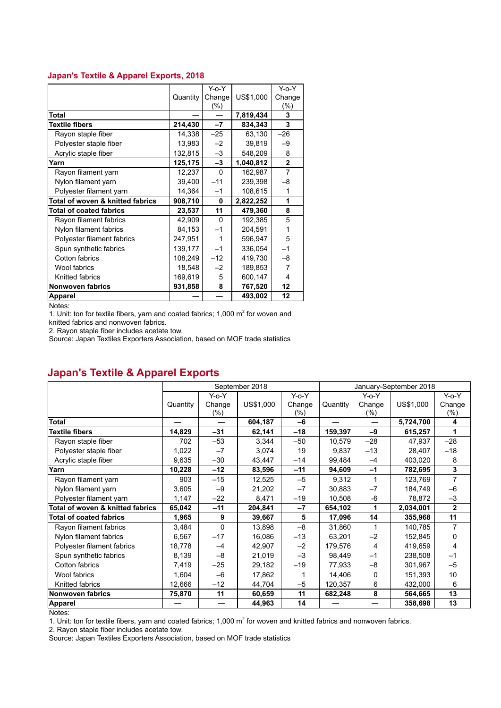## **Japan's Textile & Apparel Exports, 2018**

|                                  |          | Y-o-Y    |           | Y-o-Y          |
|----------------------------------|----------|----------|-----------|----------------|
|                                  | Quantity | Change   | US\$1,000 | Change         |
|                                  |          | (%)      |           | $(\%)$         |
| Total                            |          |          | 7,819,434 | 3              |
| <b>Textile fibers</b>            | 214,430  | $-7$     | 834,343   | 3              |
| Rayon staple fiber               | 14,338   | $-25$    | 63,130    | $-26$          |
| Polyester staple fiber           | 13,983   | $-2$     | 39,819    | -9             |
| Acrylic staple fiber             | 132,815  | $-3$     | 548,209   | 8              |
| Yarn                             | 125,175  | -3       | 1,040,812 | $\overline{2}$ |
| Rayon filament yarn              | 12,237   | $\Omega$ | 162,987   | 7              |
| Nylon filament yarn              | 39,400   | $-11$    | 239,398   | -8             |
| Polyester filament yarn          | 14,364   | $-1$     | 108,615   | 1              |
| Total of woven & knitted fabrics | 908,710  | 0        | 2,822,252 | 1              |
| <b>Total of coated fabrics</b>   | 23,537   | 11       | 479,360   | 8              |
| Rayon filament fabrics           | 42,909   | $\Omega$ | 192,385   | 5              |
| Nylon filament fabrics           | 84,153   | $-1$     | 204,591   | 1              |
| Polyester filament fabrics       | 247,951  | 1        | 596,947   | 5              |
| Spun synthetic fabrics           | 139,177  | -1       | 336,054   | $-1$           |
| <b>Cotton fabrics</b>            | 108,249  | $-12$    | 419,730   | $-8$           |
| Wool fabrics                     | 18,548   | $-2$     | 189,853   | $\overline{7}$ |
| Knitted fabrics                  | 169,619  | 5        | 600,147   | 4              |
| Nonwoven fabrics                 | 931,858  | 8        | 767,520   | 12             |
| <b>Apparel</b>                   |          |          | 493,002   | 12             |

Notes:

1. Unit: ton for textile fibers, yarn and coated fabrics; 1,000  $m^2$  for woven and

knitted fabrics and nonwoven fabrics.

2. Rayon staple fiber includes acetate tow.

Source: Japan Textiles Exporters Association, based on MOF trade statistics

## **Japan's Textile & Apparel Exports**

|                                  | September 2018 |                  |           | January-September 2018 |          |               |           |                  |
|----------------------------------|----------------|------------------|-----------|------------------------|----------|---------------|-----------|------------------|
|                                  |                | Y-o-Y            |           | $Y-0-Y$                |          | $Y$ -o- $Y$   |           | $Y$ -o- $Y$      |
|                                  | Quantity       | Change<br>$(\%)$ | US\$1,000 | Change<br>(%)          | Quantity | Change<br>(%) | US\$1,000 | Change<br>$(\%)$ |
| <b>Total</b>                     |                |                  | 604,187   | $-6$                   |          |               | 5,724,700 | 4                |
| <b>Textile fibers</b>            | 14,829         | $-31$            | 62,141    | $-18$                  | 159,397  | $-9$          | 615,257   | 1                |
| Rayon staple fiber               | 702            | $-53$            | 3,344     | -50                    | 10,579   | $-28$         | 47,937    | $-28$            |
| Polyester staple fiber           | 1,022          | $-7$             | 3,074     | 19                     | 9,837    | $-13$         | 28,407    | $-18$            |
| Acrylic staple fiber             | 9,635          | $-30$            | 43,447    | $-14$                  | 99,484   | $-4$          | 403,020   | 8                |
| Yarn                             | 10,228         | $-12$            | 83,596    | -11                    | 94,609   | $-1$          | 782,695   | 3                |
| Rayon filament yarn              | 903            | $-15$            | 12,525    | $-5$                   | 9,312    | 1             | 123,769   | $\overline{7}$   |
| Nylon filament yarn              | 3,605          | $-9$             | 21,202    | $-7$                   | 30,883   | $-7$          | 184,749   | $-6$             |
| Polyester filament yarn          | 1,147          | $-22$            | 8,471     | $-19$                  | 10,508   | $-6$          | 78,872    | $-3$             |
| Total of woven & knitted fabrics | 65,042         | $-11$            | 204,841   | $-7$                   | 654,102  | 1             | 2,034,001 | $\mathbf{2}$     |
| <b>Total of coated fabrics</b>   | 1,965          | 9                | 39,667    | 5                      | 17,096   | 14            | 355,968   | 11               |
| Rayon filament fabrics           | 3,484          | $\Omega$         | 13,898    | $-8$                   | 31,860   |               | 140,785   | 7                |
| Nylon filament fabrics           | 6,567          | $-17$            | 16,086    | $-13$                  | 63,201   | $-2$          | 152,845   | 0                |
| Polyester filament fabrics       | 18,778         | $-4$             | 42,907    | $-2$                   | 179,576  | 4             | 419,659   | 4                |
| Spun synthetic fabrics           | 8,139          | $-8$             | 21,019    | $-3$                   | 98,449   | $-1$          | 238,508   | $-1$             |
| Cotton fabrics                   | 7,419          | $-25$            | 29,182    | $-19$                  | 77,933   | $-8$          | 301,967   | $-5$             |
| Wool fabrics                     | 1,604          | $-6$             | 17,862    |                        | 14,406   | $\Omega$      | 151,393   | 10               |
| Knitted fabrics                  | 12,666         | $-12$            | 44,704    | $-5$                   | 120,357  | 6             | 432,000   | 6                |
| Nonwoven fabrics                 | 75,870         | 11               | 60,659    | 11                     | 682,248  | 8             | 564,665   | 13               |
| <b>Apparel</b>                   |                |                  | 44,963    | 14                     |          | —             | 358,698   | 13               |

Notes:

1. Unit: ton for textile fibers, yarn and coated fabrics; 1,000  $m^2$  for woven and knitted fabrics and nonwoven fabrics.

2. Rayon staple fiber includes acetate tow.

Source: Japan Textiles Exporters Association, based on MOF trade statistics